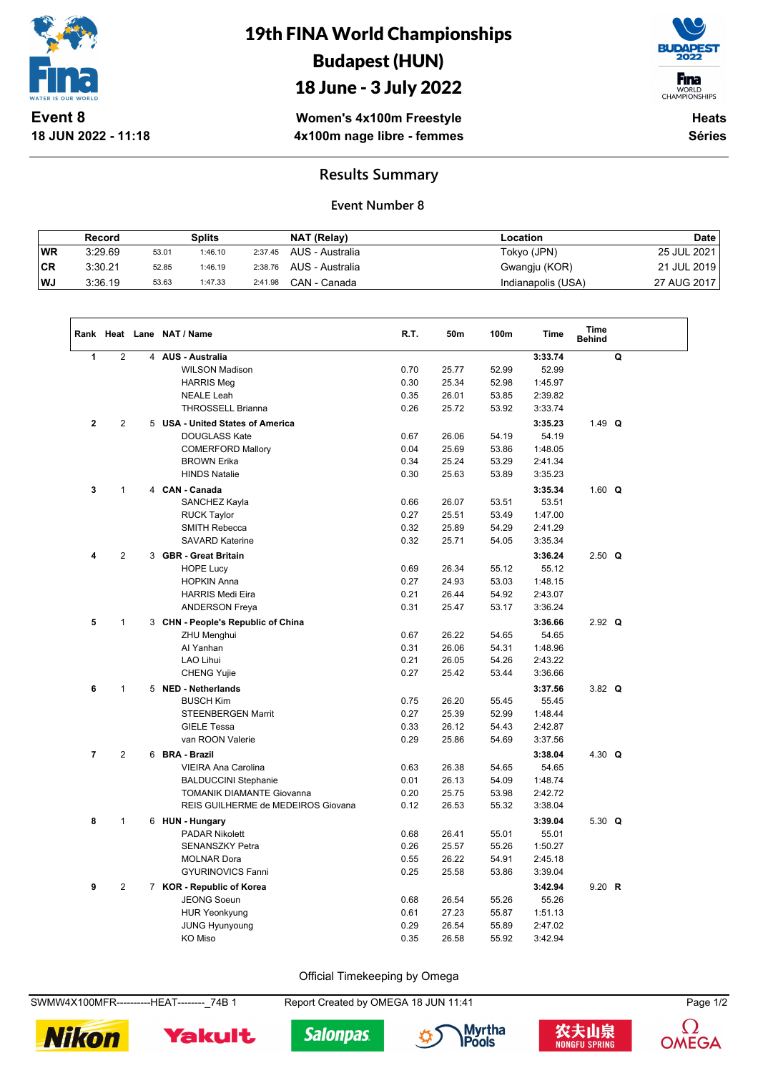

**18 JUN 2022 - 11:18**

# 19th FINA World Championships Budapest (HUN)

### 18 June - 3 July 2022



WORLD<br>CHAMPIONSHIPS

**Women's 4x100m Freestyle 4x100m nage libre - femmes**

**Heats Séries**

### **Results Summary**

#### **Event Number 8**

|     | Record  |       | Splits  |         | NAT (Relay)     | Location           | <b>Date</b> |
|-----|---------|-------|---------|---------|-----------------|--------------------|-------------|
| WR  | 3:29.69 | 53.01 | 1:46.10 | 2:37.45 | AUS - Australia | Tokyo (JPN)        | 25 JUL 2021 |
| ∣CR | 3:30.21 | 52.85 | 1:46.19 | 2:38.76 | AUS - Australia | Gwangju (KOR)      | 21 JUL 2019 |
| WJ  | 3:36.19 | 53.63 | 1:47.33 | 2:41.98 | CAN - Canada    | Indianapolis (USA) | 27 AUG 2017 |

|                |                     |  | Rank Heat Lane NAT / Name                  | R.T. | 50m   | 100m  | <b>Time</b>      | Time<br><b>Behind</b> |   |  |
|----------------|---------------------|--|--------------------------------------------|------|-------|-------|------------------|-----------------------|---|--|
| $\mathbf{1}$   | $\overline{2}$<br>4 |  | <b>AUS - Australia</b>                     |      |       |       | 3:33.74          |                       | Q |  |
|                |                     |  | <b>WILSON Madison</b>                      | 0.70 | 25.77 | 52.99 | 52.99            |                       |   |  |
|                |                     |  | <b>HARRIS Meg</b>                          | 0.30 | 25.34 | 52.98 | 1:45.97          |                       |   |  |
|                |                     |  | <b>NEALE Leah</b>                          | 0.35 | 26.01 | 53.85 | 2:39.82          |                       |   |  |
|                |                     |  | <b>THROSSELL Brianna</b>                   | 0.26 | 25.72 | 53.92 | 3:33.74          |                       |   |  |
| $\overline{2}$ | 2                   |  | 5 USA - United States of America           |      |       |       | 3:35.23          | 1.49 $Q$              |   |  |
|                |                     |  | <b>DOUGLASS Kate</b>                       | 0.67 | 26.06 | 54.19 | 54.19            |                       |   |  |
|                |                     |  | <b>COMERFORD Mallory</b>                   | 0.04 | 25.69 | 53.86 | 1:48.05          |                       |   |  |
|                |                     |  | <b>BROWN Erika</b>                         | 0.34 | 25.24 | 53.29 | 2:41.34          |                       |   |  |
|                |                     |  | <b>HINDS Natalie</b>                       | 0.30 | 25.63 | 53.89 | 3:35.23          |                       |   |  |
| 3              | $\mathbf{1}$        |  | 4 CAN - Canada                             |      |       |       | 3:35.34          | 1.60 $Q$              |   |  |
|                |                     |  | SANCHEZ Kayla                              | 0.66 | 26.07 | 53.51 | 53.51            |                       |   |  |
|                |                     |  | <b>RUCK Taylor</b>                         | 0.27 | 25.51 | 53.49 | 1:47.00          |                       |   |  |
|                |                     |  | <b>SMITH Rebecca</b>                       | 0.32 | 25.89 | 54.29 | 2:41.29          |                       |   |  |
|                |                     |  | <b>SAVARD Katerine</b>                     | 0.32 | 25.71 | 54.05 | 3:35.34          |                       |   |  |
| 4              | $\overline{2}$      |  | 3 GBR - Great Britain                      |      |       |       | 3:36.24          | $2.50$ Q              |   |  |
|                |                     |  | <b>HOPE Lucy</b>                           | 0.69 | 26.34 | 55.12 | 55.12            |                       |   |  |
|                |                     |  | <b>HOPKIN Anna</b>                         | 0.27 | 24.93 | 53.03 | 1:48.15          |                       |   |  |
|                |                     |  | <b>HARRIS Medi Eira</b>                    | 0.21 | 26.44 | 54.92 | 2:43.07          |                       |   |  |
|                |                     |  | <b>ANDERSON Freya</b>                      | 0.31 | 25.47 | 53.17 | 3:36.24          |                       |   |  |
| 5              | $\mathbf{1}$        |  | 3 CHN - People's Republic of China         |      |       |       | 3:36.66          | $2.92$ Q              |   |  |
|                |                     |  | <b>ZHU Menghui</b>                         | 0.67 | 26.22 | 54.65 | 54.65            |                       |   |  |
|                |                     |  | Al Yanhan                                  | 0.31 | 26.06 | 54.31 | 1:48.96          |                       |   |  |
|                |                     |  | LAO Lihui                                  | 0.21 | 26.05 | 54.26 | 2:43.22          |                       |   |  |
|                |                     |  | <b>CHENG Yujie</b>                         | 0.27 | 25.42 | 53.44 | 3:36.66          |                       |   |  |
| 6              | $\mathbf{1}$        |  | 5 NED - Netherlands                        |      |       |       | 3:37.56          | $3.82$ Q              |   |  |
|                |                     |  | <b>BUSCH Kim</b>                           | 0.75 | 26.20 | 55.45 | 55.45            |                       |   |  |
|                |                     |  | <b>STEENBERGEN Marrit</b>                  | 0.27 | 25.39 | 52.99 | 1:48.44          |                       |   |  |
|                |                     |  | <b>GIELE Tessa</b>                         | 0.33 | 26.12 | 54.43 | 2:42.87          |                       |   |  |
|                |                     |  | van ROON Valerie                           | 0.29 | 25.86 | 54.69 | 3:37.56          |                       |   |  |
| $\overline{7}$ | $\overline{2}$      |  | 6 BRA - Brazil                             |      |       |       | 3:38.04          | 4.30 $Q$              |   |  |
|                |                     |  | VIEIRA Ana Carolina                        | 0.63 | 26.38 | 54.65 | 54.65            |                       |   |  |
|                |                     |  | <b>BALDUCCINI Stephanie</b>                | 0.01 | 26.13 | 54.09 | 1:48.74          |                       |   |  |
|                |                     |  | <b>TOMANIK DIAMANTE Giovanna</b>           | 0.20 | 25.75 | 53.98 | 2:42.72          |                       |   |  |
|                |                     |  | REIS GUILHERME de MEDEIROS Giovana         | 0.12 | 26.53 | 55.32 | 3:38.04          |                       |   |  |
| 8              | $\mathbf{1}$        |  | 6 HUN - Hungary                            |      |       |       | 3:39.04          | 5.30 $Q$              |   |  |
|                |                     |  | <b>PADAR Nikolett</b>                      | 0.68 | 26.41 | 55.01 | 55.01            |                       |   |  |
|                |                     |  | <b>SENANSZKY Petra</b>                     | 0.26 | 25.57 | 55.26 | 1:50.27          |                       |   |  |
|                |                     |  | <b>MOLNAR Dora</b>                         | 0.55 | 26.22 | 54.91 | 2:45.18          |                       |   |  |
|                |                     |  | <b>GYURINOVICS Fanni</b>                   | 0.25 | 25.58 | 53.86 | 3:39.04          |                       |   |  |
|                |                     |  |                                            |      |       |       |                  |                       |   |  |
| 9              | $\overline{2}$      |  | 7 KOR - Republic of Korea                  | 0.68 | 26.54 | 55.26 | 3:42.94<br>55.26 | 9.20 R                |   |  |
|                |                     |  | <b>JEONG Soeun</b><br><b>HUR Yeonkyung</b> | 0.61 | 27.23 | 55.87 | 1:51.13          |                       |   |  |
|                |                     |  | <b>JUNG Hyunyoung</b>                      | 0.29 | 26.54 | 55.89 | 2:47.02          |                       |   |  |
|                |                     |  | KO Miso                                    | 0.35 | 26.58 | 55.92 | 3:42.94          |                       |   |  |
|                |                     |  |                                            |      |       |       |                  |                       |   |  |

Official Timekeeping by Omega

SWMW4X100MFR----------HEAT--------\_74B 1 Report Created by OMEGA 18 JUN 11:41 Page 1/2